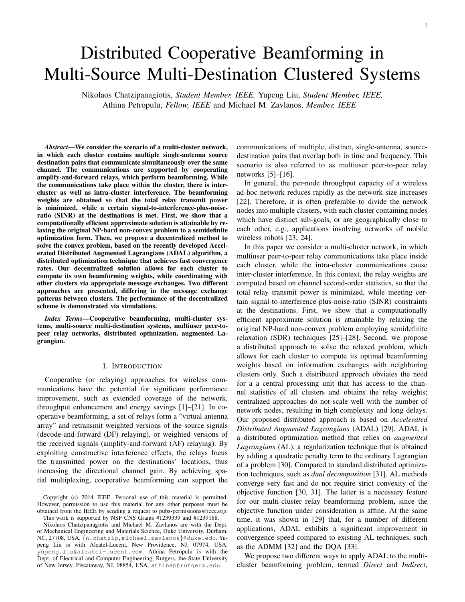# Distributed Cooperative Beamforming in Multi-Source Multi-Destination Clustered Systems

Nikolaos Chatzipanagiotis, *Student Member, IEEE,* Yupeng Liu, *Student Member, IEEE,* Athina Petropulu, *Fellow, IEEE* and Michael M. Zavlanos, *Member, IEEE*

*Abstract*—We consider the scenario of a multi-cluster network, in which each cluster contains multiple single-antenna source destination pairs that communicate simultaneously over the same channel. The communications are supported by cooperating amplify-and-forward relays, which perform beamforming. While the communications take place within the cluster, there is intercluster as well as intra-cluster interference. The beamforming weights are obtained so that the total relay transmit power is minimized, while a certain signal-to-interference-plus-noiseratio (SINR) at the destinations is met. First, we show that a computationally efficient approximate solution is attainable by relaxing the original NP-hard non-convex problem to a semidefinite optimization form. Then, we propose a decentralized method to solve the convex problem, based on the recently developed Accelerated Distributed Augmented Lagrangians (ADAL) algorithm, a distributed optimization technique that achieves fast convergence rates. Our decentralized solution allows for each cluster to compute its own beamforming weights, while coordinating with other clusters via appropriate message exchanges. Two different approaches are presented, differing in the message exchange patterns between clusters. The performance of the decentralized scheme is demonstrated via simulations.

*Index Terms*—Cooperative beamforming, multi-cluster systems, multi-source multi-destination systems, multiuser peer-topeer relay networks, distributed optimization, augmented Lagrangian.

# I. INTRODUCTION

Cooperative (or relaying) approaches for wireless communications have the potential for significant performance improvement, such as extended coverage of the network, throughput enhancement and energy savings [1]–[21]. In cooperative beamforming, a set of relays form a "virtual antenna array" and retransmit weighted versions of the source signals (decode-and-forward (DF) relaying), or weighted versions of the received signals (amplify-and-forward (AF) relaying). By exploiting constructive interference effects, the relays focus the transmitted power on the destinations' locations, thus increasing the directional channel gain. By achieving spatial multiplexing, cooperative beamforming can support the

Copyright (c) 2014 IEEE. Personal use of this material is permitted. However, permission to use this material for any other purposes must be obtained from the IEEE by sending a request to pubs-permissions@ieee.org. This work is supported by NSF CNS Grants #1239339 and #1239188.

Nikolaos Chatzipanagiotis and Michael M. Zavlanos are with the Dept. of Mechanical Engineering and Materials Science, Duke University, Durham, NC, 27708, USA, {n.chatzip,michael.zavlanos}@duke.edu. Yupeng Liu is with Alcatel-Lucent, New Providence, NJ, 07974, USA, yupeng.liu@alcatel-lucent.com. Athina Petropulu is with the Dept. of Electrical and Computer Engineering, Rutgers, the State University of New Jersey, Piscataway, NJ, 08854, USA, athinap@rutgers.edu.

communications of multiple, distinct, single-antenna, sourcedestination pairs that overlap both in time and frequency. This scenario is also referred to as multiuser peer-to-peer relay networks  $[5]-[16]$ .

In general, the per-node throughput capacity of a wireless ad-hoc network reduces rapidly as the network size increases [22]. Therefore, it is often preferable to divide the network nodes into multiple clusters, with each cluster containing nodes which have distinct sub-goals, or are geographically close to each other, e.g., applications involving networks of mobile wireless robots [23, 24].

In this paper we consider a multi-cluster network, in which multiuser peer-to-peer relay communications take place inside each cluster, while the intra-cluster communications cause inter-cluster interference. In this context, the relay weights are computed based on channel second-order statistics, so that the total relay transmit power is minimized, while meeting certain signal-to-interference-plus-noise-ratio (SINR) constraints at the destinations. First, we show that a computationally efficient approximate solution is attainable by relaxing the original NP-hard non-convex problem employing semidefinite relaxation (SDR) techniques [25]–[28]. Second, we propose a distributed approach to solve the relaxed problem, which allows for each cluster to compute its optimal beamforming weights based on information exchanges with neighboring clusters only. Such a distributed approach obviates the need for a a central processing unit that has access to the channel statistics of all clusters and obtains the relay weights; centralized approaches do not scale well with the number of network nodes, resulting in high complexity and long delays. Our proposed distributed approach is based on *Accelerated Distributed Augmented Lagrangians* (ADAL) [29]. ADAL is a distributed optimization method that relies on *augmented Lagrangians* (AL), a regularization technique that is obtained by adding a quadratic penalty term to the ordinary Lagrangian of a problem [30]. Compared to standard distributed optimization techniques, such as *dual decomposition* [31], AL methods converge very fast and do not require strict convexity of the objective function [30, 31]. The latter is a necessary feature for our multi-cluster relay beamforming problem, since the objective function under consideration is affine. At the same time, it was shown in [29] that, for a number of different applications, ADAL exhibits a significant improvement in convergence speed compared to existing AL techniques, such as the ADMM [32] and the DQA [33].

We propose two different ways to apply ADAL to the multicluster beamforming problem, termed *Direct* and *Indirect*,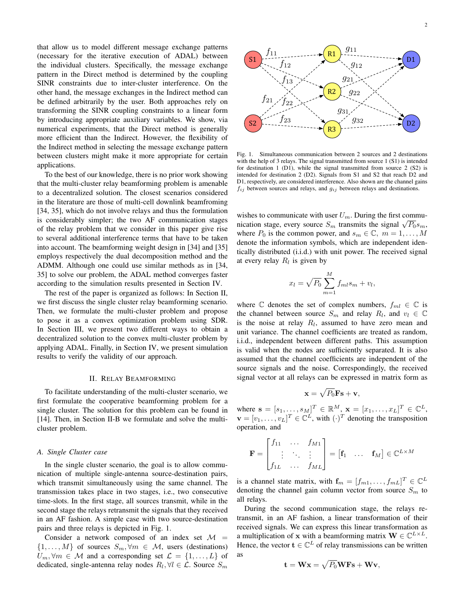that allow us to model different message exchange patterns (necessary for the iterative execution of ADAL) between the individual clusters. Specifically, the message exchange pattern in the Direct method is determined by the coupling SINR constraints due to inter-cluster interference. On the other hand, the message exchanges in the Indirect method can be defined arbitrarily by the user. Both approaches rely on transforming the SINR coupling constraints to a linear form by introducing appropriate auxiliary variables. We show, via numerical experiments, that the Direct method is generally more efficient than the Indirect. However, the flexibility of the Indirect method in selecting the message exchange pattern between clusters might make it more appropriate for certain applications.

To the best of our knowledge, there is no prior work showing that the multi-cluster relay beamforming problem is amenable to a decentralized solution. The closest scenarios considered in the literature are those of multi-cell downlink beamfroming [34, 35], which do not involve relays and thus the formulation is considerably simpler; the two AF communication stages of the relay problem that we consider in this paper give rise to several additional interference terms that have to be taken into account. The beamforming weight design in [34] and [35] employs respectively the dual decomposition method and the ADMM. Although one could use similar methods as in [34, 35] to solve our problem, the ADAL method converges faster according to the simulation results presented in Section IV.

The rest of the paper is organized as follows: In Section II, we first discuss the single cluster relay beamforming scenario. Then, we formulate the multi-cluster problem and propose to pose it as a convex optimization problem using SDR. In Section III, we present two different ways to obtain a decentralized solution to the convex multi-cluster problem by applying ADAL. Finally, in Section IV, we present simulation results to verify the validity of our approach.

#### II. RELAY BEAMFORMING

To facilitate understanding of the multi-cluster scenario, we first formulate the cooperative beamforming problem for a single cluster. The solution for this problem can be found in [14]. Then, in Section II-B we formulate and solve the multicluster problem.

# *A. Single Cluster case*

In the single cluster scenario, the goal is to allow communication of multiple single-antenna source-destination pairs, which transmit simultaneously using the same channel. The transmission takes place in two stages, i.e., two consecutive time-slots. In the first stage, all sources transmit, while in the second stage the relays retransmit the signals that they received in an AF fashion. A simple case with two source-destination pairs and three relays is depicted in Fig. 1.

Consider a network composed of an index set  $\mathcal{M}$  =  $\{1, \ldots, M\}$  of sources  $S_m, \forall m \in \mathcal{M}$ , users (destinations)  $U_m, \forall m \in \mathcal{M}$  and a corresponding set  $\mathcal{L} = \{1, \ldots, L\}$  of dedicated, single-antenna relay nodes  $R_l$ ,  $\forall l \in \mathcal{L}$ . Source  $S_m$ 



g<sup>32</sup>

Fig. 1. Simultaneous communication between 2 sources and 2 destinations with the help of 3 relays. The signal transmitted from source 1 (S1) is intended for destination 1 (D1), while the signal transmitted from source 2 (S2) is intended for destination 2 (D2). Signals from S1 and S2 that reach D2 and D1, respectively, are considered interference. Also shown are the channel gains  $f_{ij}$  between sources and relays, and  $g_{ij}$  between relays and destinations.

R3

g<sup>31</sup>

S1

S2

 $f_{22}$ 

 $12$ 

f<sup>13</sup>

 $f_{11}$ 

 $f_{23}$ 

wishes to communicate with user  $U_m$ . During the first commuwishes to communicate with user  $U_m$ . During the first communication stage, every source  $S_m$  transmits the signal  $\sqrt{P_0} s_m$ , where  $P_0$  is the common power, and  $s_m \in \mathbb{C}$ ,  $m = 1, \ldots, M$ denote the information symbols, which are independent identically distributed (i.i.d.) with unit power. The received signal at every relay  $R_l$  is given by

$$
x_l = \sqrt{P_0} \sum_{m=1}^{M} f_{ml} s_m + v_l,
$$

where  $\mathbb C$  denotes the set of complex numbers,  $f_{ml} \in \mathbb C$  is the channel between source  $S_m$  and relay  $R_l$ , and  $v_l \in \mathbb{C}$ is the noise at relay  $R_l$ , assumed to have zero mean and unit variance. The channel coefficients are treated as random, i.i.d., independent between different paths. This assumption is valid when the nodes are sufficiently separated. It is also assumed that the channel coefficients are independent of the source signals and the noise. Correspondingly, the received signal vector at all relays can be expressed in matrix form as

$$
\mathbf{x} = \sqrt{P_0} \mathbf{F} \mathbf{s} + \mathbf{v},
$$

where  $\mathbf{s} = [s_1, \dots, s_M]^T \in \mathbb{R}^M$ ,  $\mathbf{x} = [x_1, \dots, x_L]^T \in \mathbb{C}^L$ ,  $\mathbf{v} = [v_1, \dots, v_L]^T \in \mathbb{C}^L$ , with  $(\cdot)^T$  denoting the transposition operation, and

$$
\mathbf{F} = \begin{bmatrix} f_{11} & \cdots & f_{M1} \\ \vdots & \ddots & \vdots \\ f_{1L} & \cdots & f_{ML} \end{bmatrix} = \begin{bmatrix} \mathbf{f}_1 & \cdots & \mathbf{f}_M \end{bmatrix} \in \mathbb{C}^{L \times M}
$$

is a channel state matrix, with  $\mathbf{f}_m = [f_{m1}, \dots, f_{mL}]^T \in \mathbb{C}^L$ denoting the channel gain column vector from source  $S_m$  to all relays.

During the second communication stage, the relays retransmit, in an AF fashion, a linear transformation of their received signals. We can express this linear transformation as a multiplication of x with a beamforming matrix  $\mathbf{W} \in \mathbb{C}^{L \times L}$ . Hence, the vector  $\mathbf{t} \in \mathbb{C}^L$  of relay transmissions can be written as

$$
\mathbf{t} = \mathbf{W}\mathbf{x} = \sqrt{P_0}\mathbf{W}\mathbf{F}\mathbf{s} + \mathbf{W}\mathbf{v},
$$

D<sub>2</sub>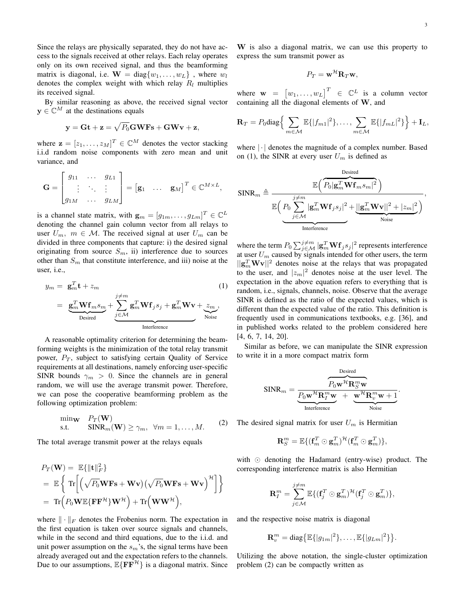Since the relays are physically separated, they do not have access to the signals received at other relays. Each relay operates only on its own received signal, and thus the beamforming matrix is diagonal, i.e.  $\mathbf{W} = \text{diag}\{w_1, \dots, w_L\}$ , where  $w_l$ denotes the complex weight with which relay  $R_l$  multiplies its received signal.

By similar reasoning as above, the received signal vector  $y \in \mathbb{C}^M$  at the destinations equals

$$
\mathbf{y} = \mathbf{Gt} + \mathbf{z} = \sqrt{P_0} \mathbf{GWFs} + \mathbf{GWv} + \mathbf{z},
$$

where  $\mathbf{z} = [z_1, \dots, z_M]^T \in \mathbb{C}^M$  denotes the vector stacking i.i.d random noise components with zero mean and unit variance, and

$$
\mathbf{G} = \begin{bmatrix} g_{11} & \cdots & g_{L1} \\ \vdots & \ddots & \vdots \\ g_{1M} & \cdots & g_{LM} \end{bmatrix} = \begin{bmatrix} \mathbf{g}_1 & \cdots & \mathbf{g}_M \end{bmatrix}^T \in \mathbb{C}^{M \times L},
$$

is a channel state matrix, with  $g_m = [g_{1m}, \dots, g_{Lm}]^T \in \mathbb{C}^L$ denoting the channel gain column vector from all relays to user  $U_m$ ,  $m \in \mathcal{M}$ . The received signal at user  $U_m$  can be divided in three components that capture: i) the desired signal originating from source  $S_m$ , ii) interference due to sources other than  $S_m$  that constitute interference, and iii) noise at the user, i.e.,

$$
y_m = \mathbf{g}_m^T \mathbf{t} + z_m
$$
\n
$$
= \underbrace{\mathbf{g}_m^T \mathbf{W} \mathbf{f}_m s_m}_{\text{Desired}} + \underbrace{\sum_{j \in \mathcal{M}}^{j \neq m} \mathbf{g}_m^T \mathbf{W} \mathbf{f}_j s_j + \mathbf{g}_m^T \mathbf{W} \mathbf{v} + z_m}_{\text{Interference}},
$$
\n(1)

A reasonable optimality criterion for determining the beamforming weights is the minimization of the total relay transmit power,  $P_T$ , subject to satisfying certain Quality of Service requirements at all destinations, namely enforcing user-specific SINR bounds  $\gamma_m > 0$ . Since the channels are in general random, we will use the average transmit power. Therefore, we can pose the cooperative beamforming problem as the following optimization problem:

$$
\min_{\mathbf{W}} P_T(\mathbf{W})
$$
  
s.t.  $\text{SINR}_m(\mathbf{W}) \ge \gamma_m, \forall m = 1, ..., M.$  (2)

The total average transmit power at the relays equals

$$
P_T(\mathbf{W}) = \mathbb{E}\{\|\mathbf{t}\|_F^2\}
$$
  
=  $\mathbb{E}\left\{\text{Tr}\left[\left(\sqrt{P_0}\mathbf{W}\mathbf{F}\mathbf{s} + \mathbf{W}\mathbf{v}\right)(\sqrt{P_0}\mathbf{W}\mathbf{F}\mathbf{s} + \mathbf{W}\mathbf{v})\right]^{\mathcal{H}}\right]\right\}$   
=  $\text{Tr}\left(P_0\mathbf{W}\mathbb{E}\{\mathbf{F}\mathbf{F}^{\mathcal{H}}\}\mathbf{W}^{\mathcal{H}}\right) + \text{Tr}\left(\mathbf{W}\mathbf{W}^{\mathcal{H}}\right),$ 

where  $\|\cdot\|_F$  denotes the Frobenius norm. The expectation in the first equation is taken over source signals and channels, while in the second and third equations, due to the i.i.d. and unit power assumption on the  $s_m$ 's, the signal terms have been already averaged out and the expectation refers to the channels. Due to our assumptions,  $\mathbb{E}\{ \mathbf{FF}^{\mathcal{H}} \}$  is a diagonal matrix. Since

W is also a diagonal matrix, we can use this property to express the sum transmit power as

$$
P_T = \mathbf{w}^{\mathcal{H}} \mathbf{R}_T \mathbf{w},
$$

where  $\mathbf{w} = [w_1, \dots, w_L]^T \in \mathbb{C}^L$  is a column vector containing all the diagonal elements of W, and

$$
\mathbf{R}_T = P_0 \text{diag}\Big\{\sum_{m \in \mathcal{M}} \mathbb{E}\{|f_{m1}|^2\}, \ldots, \sum_{m \in \mathcal{M}} \mathbb{E}\{|f_{mL}|^2\}\Big\} + \mathbf{I}_L,
$$

where  $|\cdot|$  denotes the magnitude of a complex number. Based on (1), the SINR at every user  $U_m$  is defined as

$$
\text{SINR}_{m} \triangleq \frac{\mathbb{E}\left(\overbrace{P_0 | \mathbf{g}_m^T \mathbf{W}\mathbf{f}_m s_m |^2}^{\text{Desired}}\right)}{\mathbb{E}\left(\underbrace{P_0 \sum_{j \in \mathcal{M}}^{j \neq m} |\mathbf{g}_m^T \mathbf{W}\mathbf{f}_j s_j |^2 + \underbrace{||\mathbf{g}_m^T \mathbf{W} \mathbf{v}||^2 + |z_m|^2}_{\text{Noise}}\right)},
$$

where the term  $P_0 \sum_{j \in \mathcal{M}} \left| \mathbf{g}_m^T \mathbf{W} \mathbf{f}_j s_j \right|^2$  represents interference at user  $U_m$  caused by signals intended for other users, the term  $||\mathbf{g}_m^T \mathbf{W} \mathbf{v}||^2$  denotes noise at the relays that was propagated to the user, and  $|z_m|^2$  denotes noise at the user level. The expectation in the above equation refers to everything that is random, i.e., signals, channels, noise. Observe that the average SINR is defined as the ratio of the expected values, which is different than the expected value of the ratio. This definition is frequently used in communications textbooks, e.g. [36], and in published works related to the problem considered here [4, 6, 7, 14, 20].

Similar as before, we can manipulate the SINR expression to write it in a more compact matrix form

$$
\text{SINR}_{m} = \frac{\overbrace{P_0 \mathbf{w}^{\mathcal{H}} \mathbf{R}^m_S \mathbf{w}}^{\text{Desired}}}{\frac{P_0 \mathbf{w}^{\mathcal{H}} \mathbf{R}^m_I \mathbf{w}}{\text{Interference}}} + \underbrace{\mathbf{w}^{\mathcal{H}} \mathbf{R}^m_v \mathbf{w} + 1}_{\text{Noise}}.
$$

The desired signal matrix for user  $U_m$  is Hermitian

$$
\mathbf{R}^m_S = \mathbb{E}\{(\mathbf{f}_m^T \odot \mathbf{g}_m^T)^{\mathcal{H}}(\mathbf{f}_m^T \odot \mathbf{g}_m^T)\},
$$

with  $\odot$  denoting the Hadamard (entry-wise) product. The corresponding interference matrix is also Hermitian

$$
\mathbf{R}_I^m = \sum_{j \in \mathcal{M}}^{j \neq m} \mathbb{E}\{ (\mathbf{f}_j^T \odot \mathbf{g}_m^T)^{\mathcal{H}} (\mathbf{f}_j^T \odot \mathbf{g}_m^T) \},
$$

and the respective noise matrix is diagonal

$$
\mathbf{R}_v^m=\text{diag}\big\{\mathbb{E}\{|g_{1m}|^2\},\ldots,\mathbb{E}\{|g_{Lm}|^2\}\big\}.
$$

Utilizing the above notation, the single-cluster optimization problem (2) can be compactly written as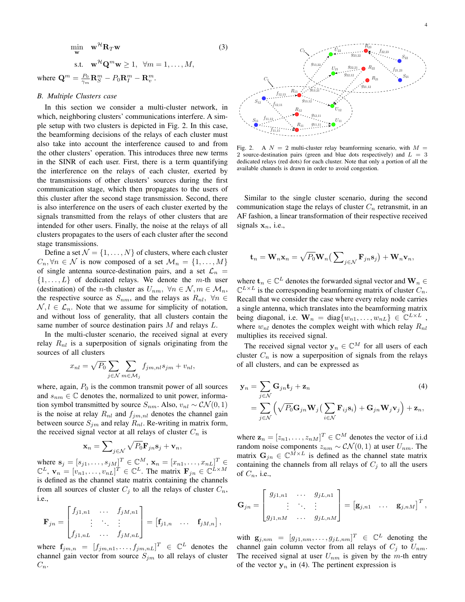$$
\begin{aligned}\n\min_{\mathbf{w}} \quad & \mathbf{w}^{\mathcal{H}} \mathbf{R}_T \mathbf{w} \tag{3} \\
\text{s.t.} \quad & \mathbf{w}^{\mathcal{H}} \mathbf{Q}^m \mathbf{w} \ge 1, \ \forall m = 1, \dots, M, \\
\text{where } & \mathbf{Q}^m = \frac{P_0}{\gamma_m} \mathbf{R}_S^m - P_0 \mathbf{R}_I^m - \mathbf{R}_v^m.\n\end{aligned}
$$

*B. Multiple Clusters case*

In this section we consider a multi-cluster network, in which, neighboring clusters' communications interfere. A simple setup with two clusters is depicted in Fig. 2. In this case, the beamforming decisions of the relays of each cluster must also take into account the interference caused to and from the other clusters' operation. This introduces three new terms in the SINR of each user. First, there is a term quantifying the interference on the relays of each cluster, exerted by the transmissions of other clusters' sources during the first communication stage, which then propagates to the users of this cluster after the second stage transmission. Second, there is also interference on the users of each cluster exerted by the signals transmitted from the relays of other clusters that are intended for other users. Finally, the noise at the relays of all clusters propagates to the users of each cluster after the second stage transmissions.

Define a set  $\mathcal{N} = \{1, \ldots, N\}$  of clusters, where each cluster  $C_n, \forall n \in \mathcal{N}$  is now composed of a set  $\mathcal{M}_n = \{1, \ldots, M\}$ of single antenna source-destination pairs, and a set  $\mathcal{L}_n =$  $\{1, \ldots, L\}$  of dedicated relays. We denote the m-th user (destination) of the *n*-th cluster as  $U_{nm}$ ,  $\forall n \in \mathcal{N}, m \in \mathcal{M}_n$ , the respective source as  $S_{nm}$ , and the relays as  $R_{nl}$ ,  $\forall n \in$  $\mathcal{N}, l \in \mathcal{L}_n$ . Note that we assume for simplicity of notation, and without loss of generality, that all clusters contain the same number of source destination pairs M and relays L.

In the multi-cluster scenario, the received signal at every relay  $R_{nl}$  is a superposition of signals originating from the sources of all clusters

$$
x_{nl} = \sqrt{P_0} \sum_{j \in \mathcal{N}} \sum_{m \in \mathcal{M}_j} f_{jm,nl} s_{jm} + v_{nl},
$$

where, again,  $P_0$  is the common transmit power of all sources and  $s_{nm} \in \mathbb{C}$  denotes the, normalized to unit power, information symbol transmitted by source  $S_{nm}$ . Also,  $v_{nl} \sim \mathcal{CN}(0, 1)$ is the noise at relay  $R_{nl}$  and  $f_{jm,nl}$  denotes the channel gain between source  $S_{jm}$  and relay  $R_{nl}$ . Re-writing in matrix form, the received signal vector at all relays of cluster  $C_n$  is

$$
\mathbf{x}_n = \sum_{j \in \mathcal{N}} \sqrt{P_0} \mathbf{F}_{jn} \mathbf{s}_j + \mathbf{v}_n,
$$

where  $\mathbf{s}_j = [s_{j1}, \dots, s_{jM}]^T \in \mathbb{C}^M$ ,  $\mathbf{x}_n = [x_{n1}, \dots, x_{nL}]^T \in$  $\mathbb{C}^{L}$ ,  $\mathbf{v}_{n} = [v_{n1}, \dots, v_{nL}]^{T} \in \mathbb{C}^{L}$ . The matrix  $\mathbf{F}_{jn} \in \mathbb{C}^{L \times M}$ is defined as the channel state matrix containing the channels from all sources of cluster  $C_j$  to all the relays of cluster  $C_n$ , i.e.,

$$
\mathbf{F}_{jn} = \begin{bmatrix} f_{j1,n1} & \cdots & f_{jM,n1} \\ \vdots & \ddots & \vdots \\ f_{j1,nL} & \cdots & f_{jM,nL} \end{bmatrix} = \begin{bmatrix} \mathbf{f}_{j1,n} & \cdots & \mathbf{f}_{jM,n} \end{bmatrix},
$$

where  $\mathbf{f}_{j m,n} = [f_{j m,n 1}, \dots, f_{j m,n L}]^T \in \mathbb{C}^L$  denotes the channel gain vector from source  $S_{im}$  to all relays of cluster  $C_n$ .

4



Fig. 2. A  $N = 2$  multi-cluster relay beamforming scenario, with  $M =$ 2 source-destination pairs (green and blue dots respectively) and  $L = 3$ dedicated relays (red dots) for each cluster. Note that only a portion of all the available channels is drawn in order to avoid congestion.

Similar to the single cluster scenario, during the second communication stage the relays of cluster  $C_n$  retransmit, in an AF fashion, a linear transformation of their respective received signals  $x_n$ , i.e.,

$$
\mathbf{t}_n = \mathbf{W}_n \mathbf{x}_n = \sqrt{P_0} \mathbf{W}_n \left( \sum\nolimits_{j \in \mathcal{N}} \mathbf{F}_{jn} \mathbf{s}_j \right) + \mathbf{W}_n \mathbf{v}_n,
$$

where  $\mathbf{t}_n \in \mathbb{C}^L$  denotes the forwarded signal vector and  $\mathbf{W}_n \in$  $\mathbb{C}^{L\times L}$  is the corresponding beamforming matrix of cluster  $C_n$ . Recall that we consider the case where every relay node carries a single antenna, which translates into the beamforming matrix being diagonal, i.e.  $\mathbf{W}_n = \text{diag}\{w_{n1}, \dots, w_{nL}\} \in \mathbb{C}^{L \times L}$ , where  $w_{nl}$  denotes the complex weight with which relay  $R_{nl}$ multiplies its received signal.

The received signal vector  $y_n \in \mathbb{C}^M$  for all users of each cluster  $C_n$  is now a superposition of signals from the relays of all clusters, and can be expressed as

$$
\mathbf{y}_n = \sum_{j \in \mathcal{N}} \mathbf{G}_{jn} \mathbf{t}_j + \mathbf{z}_n
$$
  
= 
$$
\sum_{j \in \mathcal{N}} \left( \sqrt{P_0} \mathbf{G}_{jn} \mathbf{W}_j \left( \sum_{i \in \mathcal{N}} \mathbf{F}_{ij} \mathbf{s}_i \right) + \mathbf{G}_{jn} \mathbf{W}_j \mathbf{v}_j \right) + \mathbf{z}_n,
$$
 (4)

where  $\mathbf{z}_n = [z_{n1}, \dots, z_{nM}]^T \in \mathbb{C}^M$  denotes the vector of i.i.d random noise components  $z_{nm}$  ~  $CN(0, 1)$  at user  $U_{nm}$ . The matrix  $\mathbf{G}_{in} \in \mathbb{C}^{M \times L}$  is defined as the channel state matrix containing the channels from all relays of  $C_i$  to all the users of  $C_n$ , i.e.,

$$
\mathbf{G}_{jn} = \begin{bmatrix} g_{j1,n1} & \cdots & g_{jL,n1} \\ \vdots & \ddots & \vdots \\ g_{j1,nM} & \cdots & g_{jL,nM} \end{bmatrix} = \begin{bmatrix} \mathbf{g}_{j,n1} & \cdots & \mathbf{g}_{j,nM} \end{bmatrix}^T,
$$

with  $\mathbf{g}_{j,nm} = [g_{j1,nm}, \dots, g_{jL,nm}]^T \in \mathbb{C}^L$  denoting the channel gain column vector from all relays of  $C_i$  to  $U_{nm}$ . The received signal at user  $U_{nm}$  is given by the m-th entry of the vector  $y_n$  in (4). The pertinent expression is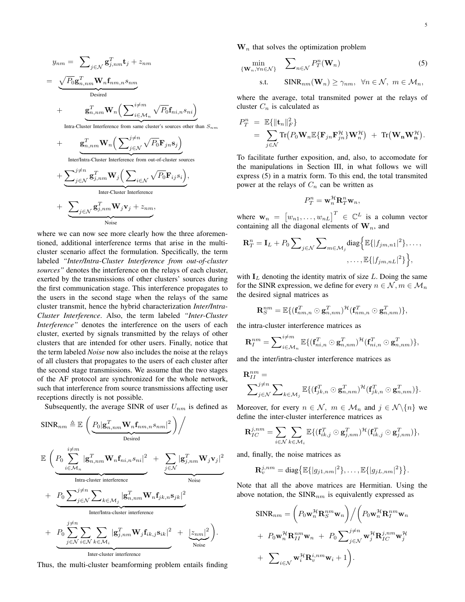$$
y_{nm} = \sum_{j \in \mathcal{N}} \mathbf{g}_{j,nm}^T \mathbf{t}_j + z_{nm}
$$
  
= 
$$
\underbrace{\sqrt{P_0} \mathbf{g}_{n,nm}^T \mathbf{W}_n \mathbf{f}_{nm,n} s_{nm}}_{\text{Desired}}
$$
  
+ 
$$
\underbrace{\mathbf{g}_{n,nm}^T \mathbf{W}_n \Big( \sum_{i \in \mathcal{M}_n}^{i \neq m} \sqrt{P_0} \mathbf{f}_{ni,n} s_{ni} \Big)}
$$

Intra-Cluster Interference from same cluster's sources other than  $S_{nm}$ 

$$
+\qquad \underbrace{{\bf g}_{n,nm}^T{\bf W}_n\Big(\sum\nolimits_{j\in\mathcal{N}}^{j\neq n}\sqrt{P_0}{\bf F}_{jn}{\bf s}_j\Big)}}_{\blacktriangleleft}
$$

Inter/Intra-Cluster Interference from out-of-cluster sources

$$
+\underbrace{\sum\nolimits_{j\in\mathcal{N}}^{j\neq n} \mathbf{g}_{j,nm}^T\mathbf{W}_j\Big(\sum\nolimits_{i\in\mathcal{N}}\sqrt{P_0}\mathbf{F}_{ij}s_i\Big)}_{\text{Inter-Cluster Interference}},\\\nonumber +\underbrace{\sum\nolimits_{j\in\mathcal{N}}\mathbf{g}_{j,nm}^T\mathbf{W}_j\mathbf{v}_j+z_{nm}}_{\text{Noise}},
$$

where we can now see more clearly how the three aforementioned, additional interference terms that arise in the multicluster scenario affect the formulation. Specifically, the term labeled *"Inter/Intra-Cluster Interference from out-of-cluster sources"* denotes the interference on the relays of each cluster, exerted by the transmissions of other clusters' sources during the first communication stage. This interference propagates to the users in the second stage when the relays of the same cluster transmit, hence the hybrid characterization *Inter/Intra-Cluster Interference*. Also, the term labeled *"Inter-Cluster Interference"* denotes the interference on the users of each cluster, exerted by signals transmitted by the relays of other clusters that are intended for other users. Finally, notice that the term labeled *Noise* now also includes the noise at the relays of all clusters that propagates to the users of each cluster after the second stage transmissions. We assume that the two stages of the AF protocol are synchronized for the whole network, such that interference from source transmissions affecting user receptions directly is not possible.

Subsequently, the average SINR of user  $U_{nm}$  is defined as

$$
\begin{split} \text{SINR}_{nm} &\triangleq \mathbb{E}\,\left(\underbrace{P_0|\mathbf{g}_{n,nm}^T\mathbf{W}_n\mathbf{f}_{nm,n}s_{nm}|^2}_{\text{Desired}}\right)\Big/\\ &\mathbb{E}\,\left(\underbrace{P_0\sum_{i\in\mathcal{M}_n}^{i\neq m}|\mathbf{g}_{n,nm}^T\mathbf{W}_n\mathbf{f}_{ni,n}s_{ni}|^2}_{\text{Intra-cluster interference}}+\underbrace{P_0\sum_{j\in\mathcal{N}}^{j\neq n}\sum_{k\in\mathcal{M}_j}|\mathbf{g}_{n,nm}^T\mathbf{W}_n\mathbf{f}_{jk,n}\mathbf{s}_{jk}|^2}_{\text{Inter/Intra-cluster interference}}\\ &+\underbrace{P_0\sum_{j\in\mathcal{N}}^{j\neq n}\sum_{i\in\mathcal{N}}\sum_{k\in\mathcal{M}_i}|\mathbf{g}_{j,nm}^T\mathbf{W}_j\mathbf{f}_{ik,j}\mathbf{s}_{ik}|^2}_{\text{Intercluster interference}}+\underbrace{P_0\sum_{j\in\mathcal{N}}^{j\neq n}\sum_{i\in\mathcal{N}}\sum_{k\in\mathcal{M}_i}|\mathbf{g}_{j,nm}^T\mathbf{W}_j\mathbf{f}_{ik,j}\mathbf{s}_{ik}|^2}+\underbrace{|\mathbf{z}_{nm}|^2}_{\text{Noise}}\right). \end{split}
$$

Thus, the multi-cluster beamforming problem entails finding

 $W_n$  that solves the optimization problem

$$
\min_{\{\mathbf{W}_n, \forall n \in \mathcal{N}\}} \quad \sum_{n \in \mathcal{N}} P_T^n(\mathbf{W}_n) \tag{5}
$$
\ns.t.

\n
$$
\text{SINR}_{nm}(\mathbf{W}_n) \geq \gamma_{nm}, \quad \forall n \in \mathcal{N}, \ m \in \mathcal{M}_n,
$$

where the average, total transmited power at the relays of cluster  $C_n$  is calculated as

$$
P_T^n = \mathbb{E}\{\|\mathbf{t}_n\|_F^2\}
$$
  
= 
$$
\sum_{j\in\mathcal{N}} \text{Tr}\big(P_0 \mathbf{W}_n \mathbb{E}\{\mathbf{F}_{jn} \mathbf{F}_{jn}^{\mathcal{H}}\} \mathbf{W}_n^{\mathcal{H}}\big) + \text{Tr}\big(\mathbf{W}_n \mathbf{W}_n^{\mathcal{H}}\big).
$$

To facilitate further exposition, and, also, to accomodate for the manipulations in Section III, in what follows we will express (5) in a matrix form. To this end, the total transmited power at the relays of  $C_n$  can be written as

$$
P_T^n = \mathbf{w}_n^{\mathcal{H}} \mathbf{R}_T^n \mathbf{w}_n,
$$

where  $\mathbf{w}_n = [w_{n1}, \dots, w_{nL}]^T \in \mathbb{C}^L$  is a column vector containing all the diagonal elements of  $W_n$ , and

$$
\mathbf{R}_T^n = \mathbf{I}_L + P_0 \sum_{j \in \mathcal{N}} \sum_{m \in \mathcal{M}_j} \text{diag} \Big\{ \mathbb{E} \{ |f_{jm,n1}|^2 \}, \dots, \\, \dots, \mathbb{E} \{ |f_{jm,nL}|^2 \} \Big\},
$$

with  $I_L$  denoting the identity matrix of size L. Doing the same for the SINR expression, we define for every  $n \in \mathcal{N}, m \in \mathcal{M}_n$ the desired signal matrices as

$$
\mathbf{R}_S^{nm} = \mathbb{E}\{(\mathbf{f}_{nm,n}^T \odot \mathbf{g}_{n,nm}^T)^{\mathcal{H}} (\mathbf{f}_{nm,n}^T \odot \mathbf{g}_{n,nm}^T)\},\
$$

the intra-cluster interference matrices as

$$
\mathbf{R}_I^{nm} = \sum\nolimits_{i \in \mathcal{M}_n}^{i \neq m} \mathbb{E}\{(\mathbf{f}_{ni,n}^T \odot \mathbf{g}_{n,nm}^T)^{\mathcal{H}} (\mathbf{f}_{ni,n}^T \odot \mathbf{g}_{n,nm}^T)\},
$$

and the inter/intra-cluster interference matrices as

$$
\mathbf{R}_{II}^{nm} = \sum_{j \in \mathcal{N}} \sum_{k \in \mathcal{M}_j} \mathbb{E}\{ (\mathbf{f}_{jk,n}^T \odot \mathbf{g}_{n,nm}^T)^{\mathcal{H}} (\mathbf{f}_{jk,n}^T \odot \mathbf{g}_{n,nm}^T) \}.
$$

Moreover, for every  $n \in \mathcal{N}$ ,  $m \in \mathcal{M}_n$  and  $j \in \mathcal{N} \backslash \{n\}$  we define the inter-cluster interference matrices as

$$
\mathbf{R}_{IC}^{j,nm} = \sum_{i \in \mathcal{N}} \sum_{k \in \mathcal{M}_i} \mathbb{E}\{ (\mathbf{f}_{ik,j}^T \odot \mathbf{g}_{j,nm}^T)^{\mathcal{H}} (\mathbf{f}_{ik,j}^T \odot \mathbf{g}_{j,nm}^T) \},
$$

and, finally, the noise matrices as

$$
\mathbf{R}_{v}^{j,nm} = \text{diag}\big\{\mathbb{E}\{|g_{j1,nm}|^2\},\ldots,\mathbb{E}\{|g_{jL,nm}|^2\}\big\}.
$$

Note that all the above matrices are Hermitian. Using the above notation, the  $SINR_{nm}$  is equivalently expressed as

$$
\begin{aligned}\n\text{SINR}_{nm} &= \left(P_0 \mathbf{w}_n^{\mathcal{H}} \mathbf{R}_S^{nm} \mathbf{w}_n\right) \big/ \bigg(P_0 \mathbf{w}_n^{\mathcal{H}} \mathbf{R}_I^{nm} \mathbf{w}_n \\
&+ P_0 \mathbf{w}_n^{\mathcal{H}} \mathbf{R}_{II}^{nm} \mathbf{w}_n + P_0 \sum_{j \in \mathcal{N}} \mathbf{w}_j^{\mathcal{H}} \mathbf{R}_{IC}^{j,nm} \mathbf{w}_j^{\mathcal{H}} \\
&+ \sum_{i \in \mathcal{N}} \mathbf{w}_i^{\mathcal{H}} \mathbf{R}_v^{i,nm} \mathbf{w}_i + 1\bigg).\n\end{aligned}
$$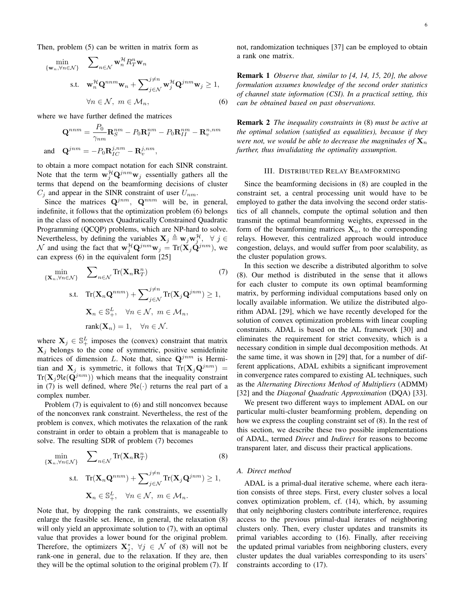Then, problem (5) can be written in matrix form as

$$
\min_{\{\mathbf{w}_n, \forall n \in \mathcal{N}\}} \quad \sum_{n \in \mathcal{N}} \mathbf{w}_n^{\mathcal{H}} R_T^n \mathbf{w}_n
$$
\ns.t. 
$$
\mathbf{w}_n^{\mathcal{H}} \mathbf{Q}^{nnm} \mathbf{w}_n + \sum_{j \in \mathcal{N}}^{j \neq n} \mathbf{w}_j^{\mathcal{H}} \mathbf{Q}^{jnm} \mathbf{w}_j \ge 1,
$$
\n
$$
\forall n \in \mathcal{N}, \ m \in \mathcal{M}_n,
$$
\n(6)

where we have further defined the matrices

$$
\mathbf{Q}^{nnm} = \frac{P_0}{\gamma_{nm}} \mathbf{R}_S^{nm} - P_0 \mathbf{R}_I^{nm} - P_0 \mathbf{R}_{II}^{nm} - \mathbf{R}_v^{n,nm}
$$
  
and 
$$
\mathbf{Q}^{jnm} = -P_0 \mathbf{R}_{IC}^{j,nm} - \mathbf{R}_v^{j,nm},
$$

to obtain a more compact notation for each SINR constraint. Note that the term  $\mathbf{w}_j^{\mathcal{H}} \mathbf{Q}^{jnm} \mathbf{w}_j$  essentially gathers all the terms that depend on the beamforming decisions of cluster  $C_j$  and appear in the SINR constraint of user  $U_{nm}$ .

Since the matrices  $Q^{jnm}$ ,  $Q^{nnm}$  will be, in general, indefinite, it follows that the optimization problem (6) belongs in the class of nonconvex Quadratically Constrained Quadratic Programming (QCQP) problems, which are NP-hard to solve. Nevertheless, by defining the variables  $X_j \triangleq w_j w_j^{\mathcal{H}}$ ,  $\forall j \in$  $\mathcal N$  and using the fact that  $\mathbf{w}_j^{\mathcal H} \mathbf{Q}^{jnm} \mathbf{w}_j = \text{Tr}(\mathbf{X}_j \mathbf{Q}^{jnm})$ , we can express (6) in the equivalent form [25]

$$
\min_{\{\mathbf{X}_n, \forall n \in \mathcal{N}\}} \quad \sum_{n \in \mathcal{N}} \text{Tr}(\mathbf{X}_n \mathbf{R}_T^n) \tag{7}
$$
\n
$$
\text{s.t.} \quad \text{Tr}(\mathbf{X}_n \mathbf{Q}^{nnm}) + \sum_{j \in \mathcal{N}}^{j \neq n} \text{Tr}(\mathbf{X}_j \mathbf{Q}^{jnm}) \ge 1,
$$
\n
$$
\mathbf{X}_n \in \mathbb{S}_+^L, \quad \forall n \in \mathcal{N}, \ m \in \mathcal{M}_n,
$$
\n
$$
\text{rank}(\mathbf{X}_n) = 1, \quad \forall n \in \mathcal{N}.
$$

where  $X_j \in \mathbb{S}_+^L$  imposes the (convex) constraint that matrix  $X_j$  belongs to the cone of symmetric, positive semidefinite matrices of dimension L. Note that, since  $\mathbf{Q}^{jnm}$  is Hermitian and  $X_i$  is symmetric, it follows that  $Tr(X_iQ^{jnm})$  =  $Tr(X_i\mathfrak{Re}(Q^{jnm}))$  which means that the inequality constraint in (7) is well defined, where  $\Re(\cdot)$  returns the real part of a complex number.

Problem (7) is equivalent to (6) and still nonconvex because of the nonconvex rank constraint. Nevertheless, the rest of the problem is convex, which motivates the relaxation of the rank constraint in order to obtain a problem that is manageable to solve. The resulting SDR of problem (7) becomes

$$
\min_{\{\mathbf{X}_n, \forall n \in \mathcal{N}\}} \quad \sum_{n \in \mathcal{N}} \text{Tr}(\mathbf{X}_n \mathbf{R}_T^n) \tag{8}
$$
\n
$$
\text{s.t.} \quad \text{Tr}(\mathbf{X}_n \mathbf{Q}^{nnm}) + \sum_{j \in \mathcal{N}}^{j \neq n} \text{Tr}(\mathbf{X}_j \mathbf{Q}^{jnm}) \ge 1,
$$
\n
$$
\mathbf{X}_n \in \mathbb{S}_+^L, \quad \forall n \in \mathcal{N}, \ m \in \mathcal{M}_n.
$$

Note that, by dropping the rank constraints, we essentially enlarge the feasible set. Hence, in general, the relaxation (8) will only yield an approximate solution to  $(7)$ , with an optimal value that provides a lower bound for the original problem. Therefore, the optimizers  $X_j^*, \forall j \in \mathcal{N}$  of (8) will not be rank-one in general, due to the relaxation. If they are, then they will be the optimal solution to the original problem (7). If not, randomization techniques [37] can be employed to obtain a rank one matrix.

Remark 1 *Observe that, similar to [4, 14, 15, 20], the above formulation assumes knowledge of the second order statistics of channel state information (CSI). In a practical setting, this can be obtained based on past observations.*

Remark 2 *The inequality constraints in* (8) *must be active at the optimal solution (satisfied as equalities), because if they were not, we would be able to decrease the magnitudes of*  $\mathbf{X}_n$ *further, thus invalidating the optimality assumption.*

### III. DISTRIBUTED RELAY BEAMFORMING

Since the beamforming decisions in (8) are coupled in the constraint set, a central processing unit would have to be employed to gather the data involving the second order statistics of all channels, compute the optimal solution and then transmit the optimal beamforming weights, expressed in the form of the beamforming matrices  $X_n$ , to the corresponding relays. However, this centralized approach would introduce congestion, delays, and would suffer from poor scalability, as the cluster population grows.

In this section we describe a distributed algorithm to solve (8). Our method is distributed in the sense that it allows for each cluster to compute its own optimal beamforming matrix, by performing individual computations based only on locally available information. We utilize the distributed algorithm ADAL [29], which we have recently developed for the solution of convex optimization problems with linear coupling constraints. ADAL is based on the AL framework [30] and eliminates the requirement for strict convexity, which is a necessary condition in simple dual decomposition methods. At the same time, it was shown in [29] that, for a number of different applications, ADAL exhibits a significant improvement in convergence rates compared to existing AL techniques, such as the *Alternating Directions Method of Multipliers* (ADMM) [32] and the *Diagonal Quadratic Approximation* (DQA) [33].

We present two different ways to implement ADAL on our particular multi-cluster beamforming problem, depending on how we express the coupling constraint set of (8). In the rest of this section, we describe these two possible implementations of ADAL, termed *Direct* and *Indirect* for reasons to become transparent later, and discuss their practical applications.

#### *A. Direct method*

ADAL is a primal-dual iterative scheme, where each iteration consists of three steps. First, every cluster solves a local convex optimization problem, cf. (14), which, by assuming that only neighboring clusters contribute interference, requires access to the previous primal-dual iterates of neighboring clusters only. Then, every cluster updates and transmits its primal variables according to (16). Finally, after receiving the updated primal variables from neighboring clusters, every cluster updates the dual variables corresponding to its users' constraints according to (17).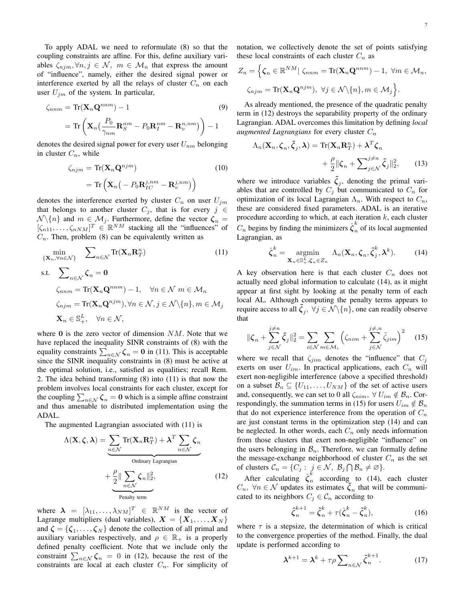To apply ADAL we need to reformulate (8) so that the coupling constraints are affine. For this, define auxiliary variables  $\zeta_{n,m}, \forall n, j \in \mathcal{N}, m \in \mathcal{M}_n$  that express the amount of "influence", namely, either the desired signal power or interference exerted by all the relays of cluster  $C_n$  on each user  $U_{jm}$  of the system. In particular,

$$
\zeta_{nnm} = \text{Tr}(\mathbf{X}_n \mathbf{Q}^{nnm}) - 1 \tag{9}
$$
\n
$$
= \text{Tr}\left(\mathbf{X}_n \left(\frac{P_0}{\gamma_{nm}} \mathbf{R}_S^{nm} - P_0 \mathbf{R}_I^{nm} - \mathbf{R}_v^{n,nm}\right)\right) - 1
$$

denotes the desired signal power for every user  $U_{nm}$  belonging in cluster  $C_n$ , while

$$
\zeta_{njm} = \text{Tr}(\mathbf{X}_n \mathbf{Q}^{njm})
$$
\n
$$
= \text{Tr}\left(\mathbf{X}_n \left( -P_0 \mathbf{R}_{IC}^{j,nm} - \mathbf{R}_v^{j,nm} \right) \right)
$$
\n(10)

denotes the interference exerted by cluster  $C_n$  on user  $U_{jm}$ that belongs to another cluster  $C_j$ , that is for every  $j \in \mathcal{C}$  $\mathcal{N}\backslash\{n\}$  and  $m \in \mathcal{M}_j$ . Furthermore, define the vector  $\boldsymbol{\zeta}_n =$  $[\zeta_{n11}, \ldots, \zeta_{nNM}]^T \in \mathbb{R}^{NM}$  stacking all the "influences" of  $C_n$ . Then, problem (8) can be equivalently written as

$$
\min_{\{\mathbf{X}_n, \forall n \in \mathcal{N}\}} \sum_{n \in \mathcal{N}} \text{Tr}(\mathbf{X}_n \mathbf{R}_T^n)
$$
(11)  
s.t. 
$$
\sum_{n \in \mathcal{N}} \zeta_n = \mathbf{0}
$$

$$
\zeta_{nnm} = \text{Tr}(\mathbf{X}_n \mathbf{Q}^{nnm}) - 1, \quad \forall n \in \mathcal{N} \text{ } m \in \mathcal{M}_n
$$

$$
\zeta_{njm} = \text{Tr}(\mathbf{X}_n \mathbf{Q}^{njm}), \forall n \in \mathcal{N}, j \in \mathcal{N} \backslash \{n\}, m \in \mathcal{M}_j
$$

 $\mathbf{X}_n \in \mathbb{S}_+^L$ ,  $\forall n \in \mathcal{N}$ ,

where  $\bf{0}$  is the zero vector of dimension  $NM$ . Note that we have replaced the inequality SINR constraints of (8) with the equality constraints  $\sum_{n \in \mathcal{N}} \zeta_n = 0$  in (11). This is acceptable since the SINR inequality constraints in (8) must be active at the optimal solution, i.e., satisfied as equalities; recall Rem. 2. The idea behind transforming (8) into (11) is that now the problem involves local constraints for each cluster, except for the coupling  $\sum_{n \in \mathcal{N}} \zeta_n = 0$  which is a simple affine constraint and thus amenable to distributed implementation using the ADAL.

The augmented Lagrangian associated with (11) is

$$
\Lambda(\mathbf{X}, \boldsymbol{\zeta}, \boldsymbol{\lambda}) = \underbrace{\sum_{n \in \mathcal{N}} \text{Tr}(\mathbf{X}_n \mathbf{R}_T^n) + \boldsymbol{\lambda}^T \sum_{n \in \mathcal{N}} \boldsymbol{\zeta}_n}_{\text{Ordinary Lagrangian}} + \underbrace{\frac{\rho}{2} \|\sum_{n \in \mathcal{N}} \boldsymbol{\zeta}_n\|_2^2}_{\text{Penalty term}},
$$
(12)

where  $\mathbf{\lambda} = [\lambda_{11}, \dots, \lambda_{NM}]^T \in \mathbb{R}^{NM}$  is the vector of Lagrange multipliers (dual variables),  $X = \{X_1, \ldots, X_N\}$ and  $\boldsymbol{\zeta} = {\zeta_1, \dots, \zeta_N}$  denote the collection of all primal and auxiliary variables respectively, and  $\rho \in \mathbb{R}_+$  is a properly defined penalty coefficient. Note that we include only the constraint  $\sum_{n \in \mathcal{N}} \zeta_n = 0$  in (12), because the rest of the constraints are local at each cluster  $C_n$ . For simplicity of notation, we collectively denote the set of points satisfying these local constraints of each cluster  $C_n$  as

$$
Z_n = \left\{ \boldsymbol{\zeta}_n \in \mathbb{R}^{NM} \mid \zeta_{nnm} = \text{Tr}(\mathbf{X}_n \mathbf{Q}^{nnm}) - 1, \ \forall m \in \mathcal{M}_n, \zeta_{njm} = \text{Tr}(\mathbf{X}_n \mathbf{Q}^{njm}), \ \forall j \in \mathcal{N} \setminus \{n\}, m \in \mathcal{M}_j \right\}.
$$

As already mentioned, the presence of the quadratic penalty term in (12) destroys the separability property of the ordinary Lagrangian. ADAL overcomes this limitation by defining *local augmented Lagrangians* for every cluster  $C_n$ 

$$
\Lambda_n(\mathbf{X}_n, \boldsymbol{\zeta}_n, \tilde{\boldsymbol{\zeta}}_j, \boldsymbol{\lambda}) = \text{Tr}(\mathbf{X}_n \mathbf{R}_T^n) + \boldsymbol{\lambda}^T \boldsymbol{\zeta}_n
$$

$$
+ \frac{\rho}{2} \|\boldsymbol{\zeta}_n + \sum_{j \in \mathcal{N}} \tilde{\boldsymbol{\zeta}}_j\|_2^2, \qquad (13)
$$

where we introduce variables  $\tilde{\zeta}_j$ , denoting the primal variables that are controlled by  $C_j$  but communicated to  $C_n$  for optimization of its local Lagrangian  $\Lambda_n$ . With respect to  $C_n$ , these are considered fixed parameters. ADAL is an iterative procedure according to which, at each iteration  $k$ , each cluster  $C_n$  begins by finding the minimizers  $\hat{\zeta}_n^k$  of its local augmented Lagrangian, as

$$
\hat{\boldsymbol{\zeta}}_n^k = \operatorname*{argmin}_{\mathbf{X}_n \in \mathbb{S}_+^L, \boldsymbol{\zeta}_n \in Z_n} \Lambda_n(\mathbf{X}_n, \boldsymbol{\zeta}_n, \tilde{\boldsymbol{\zeta}}_j^k, \boldsymbol{\lambda}^k).
$$
 (14)

A key observation here is that each cluster  $C_n$  does not actually need global information to calculate (14), as it might appear at first sight by looking at the penalty term of each local AL. Although computing the penalty terms appears to require access to all  $\tilde{\zeta}_j$ ,  $\forall j \in \mathcal{N} \setminus \{n\}$ , one can readily observe that

$$
\|\zeta_n + \sum_{j \in \mathcal{N}}^{j \neq n} \tilde{\zeta}_j\|_2^2 = \sum_{i \in \mathcal{N}} \sum_{m \in \mathcal{M}_i} \left( \zeta_{nim} + \sum_{j \in \mathcal{N}}^{j \neq, n} \tilde{\zeta}_{jim} \right)^2 \quad (15)
$$

where we recall that  $\zeta_{jim}$  denotes the "influence" that  $C_j$ exerts on user  $U_{im}$ . In practical applications, each  $C_n$  will exert non-negligible interference (above a specified threshold) on a subset  $\mathcal{B}_n \subseteq \{U_{11}, \ldots, U_{NM}\}\$  of the set of active users and, consequently, we can set to 0 all  $\zeta_{nim}$ ,  $\forall U_{im} \notin \mathcal{B}_n$ . Correspondingly, the summation terms in (15) for users  $U_{im} \notin \mathcal{B}_n$ that do not experience interference from the operation of  $C_n$ are just constant terms in the optimization step (14) and can be neglected. In other words, each  $C_n$  only needs information from those clusters that exert non-negligible "influence" on the users belonging in  $\mathcal{B}_n$ . Therefore, we can formally define the message-exchange neighborhood of cluster  $C_n$  as the set of clusters  $C_n = \{C_j : j \in \mathcal{N}, B_j \cap B_n \neq \emptyset\}.$ 

After calculating  $\hat{\zeta}_n^{\kappa}$  according to (14), each cluster  $C_n$ ,  $\forall n \in \mathcal{N}$  updates its estimates  $\tilde{\zeta}_n$  that will be communicated to its neighbors  $C_j \in \mathcal{C}_n$  according to

$$
\tilde{\zeta}_n^{k+1} = \tilde{\zeta}_n^k + \tau (\hat{\zeta}_n^k - \tilde{\zeta}_n^k),\tag{16}
$$

where  $\tau$  is a stepsize, the determination of which is critical to the convergence properties of the method. Finally, the dual update is performed according to

$$
\lambda^{k+1} = \lambda^k + \tau \rho \sum_{n \in \mathcal{N}} \tilde{\zeta}_n^{k+1}.
$$
 (17)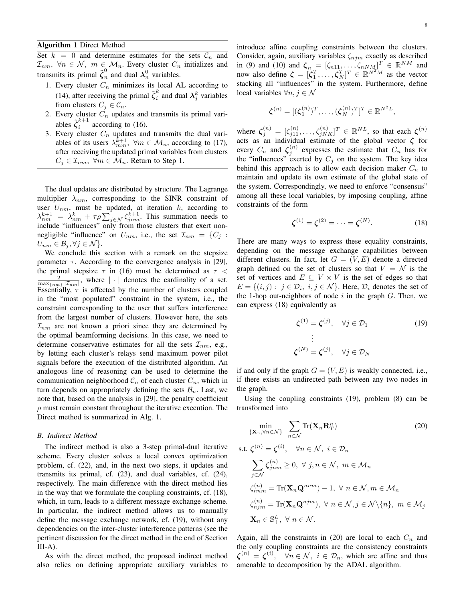# Algorithm 1 Direct Method

Set  $k = 0$  and determine estimates for the sets  $C_n$  and  $\mathcal{I}_{nm}, \forall n \in \mathcal{N}, m \in \mathcal{M}_n$ . Every cluster  $C_n$  initializes and transmits its primal  $\tilde{\zeta}_n^0$  $\int_{n}^{0}$  and dual  $\lambda_n^{0}$  variables.

- 1. Every cluster  $C_n$  minimizes its local AL according to (14), after receiving the primal  $\tilde{\zeta}_i^k$  $\sum_{i=1}^{k}$  and dual  $\lambda_j^k$  variables from clusters  $C_j \in \mathcal{C}_n$ .
- 2. Every cluster  $C_n$  updates and transmits its primal variables  $\tilde{\zeta}_i^{k+1}$  $\int_{i}^{n+1}$  according to (16).
- 3. Every cluster  $C_n$  updates and transmits the dual variables of its users  $\lambda_{mm}^{k+1}$ ,  $\forall m \in \mathcal{M}_n$ , according to (17), after receiving the updated primal variables from clusters  $C_j \in \mathcal{I}_{nm}, \ \forall m \in \mathcal{M}_n.$  Return to Step 1.

The dual updates are distributed by structure. The Lagrange multiplier  $\lambda_{nm}$ , corresponding to the SINR constraint of user  $U_{nm}$ , must be updated, at iteration k, according to  $\lambda_{nm}^{k+1} = \lambda_{nm}^k + \tau \rho \sum_{j \in \mathcal{N}} \zeta_{jnm}^{k+1}$ . This summation needs to include "influences" only from those clusters that exert nonnegligible "influence" on  $U_{nm}$ , i.e., the set  $\mathcal{I}_{nm} = \{C_j :$  $U_{nm} \in \mathcal{B}_i, \forall j \in \mathcal{N} \}.$ 

We conclude this section with a remark on the stepsize parameter  $\tau$ . According to the convergence analysis in [29], the primal stepsize  $\tau$  in (16) must be determined as  $\tau$  <  $\frac{2}{\max_{\{nm\}} |\mathcal{I}_{nm}|}$ , where  $|\cdot|$  denotes the cardinality of a set. Essentially,  $\tau$  is affected by the number of clusters coupled in the "most populated" constraint in the system, i.e., the constraint corresponding to the user that suffers interference from the largest number of clusters. However here, the sets  $\mathcal{I}_{nm}$  are not known a priori since they are determined by the optimal beamforming decisions. In this case, we need to determine conservative estimates for all the sets  $\mathcal{I}_{nm}$ , e.g., by letting each cluster's relays send maximum power pilot signals before the execution of the distributed algorithm. An analogous line of reasoning can be used to determine the communication neighborhood  $C_n$  of each cluster  $C_n$ , which in turn depends on appropriately defining the sets  $\mathcal{B}_n$ . Last, we note that, based on the analysis in [29], the penalty coefficient  $\rho$  must remain constant throughout the iterative execution. The Direct method is summarized in Alg. 1.

#### *B. Indirect Method*

The indirect method is also a 3-step primal-dual iterative scheme. Every cluster solves a local convex optimization problem, cf. (22), and, in the next two steps, it updates and transmits its primal, cf. (23), and dual variables, cf. (24), respectively. The main difference with the direct method lies in the way that we formulate the coupling constraints, cf. (18), which, in turn, leads to a different message exchange scheme. In particular, the indirect method allows us to manually define the message exchange network, cf. (19), without any dependencies on the inter-cluster interference patterns (see the pertinent discussion for the direct method in the end of Section  $III-A$ ).

As with the direct method, the proposed indirect method also relies on defining appropriate auxiliary variables to

introduce affine coupling constraints between the clusters. Consider, again, auxiliary variables  $\zeta_{njm}$  exactly as described in (9) and (10) and  $\zeta_n = [\zeta_{n11}, \ldots, \zeta_{nNM}]^T \in \mathbb{R}^{NM}$  and now also define  $\boldsymbol{\zeta} = [\boldsymbol{\zeta}_1^T, \dots, \boldsymbol{\zeta}_N^T]^T \in \mathbb{R}^{N^2 M}$  as the vector stacking all "influences" in the system. Furthermore, define local variables  $\forall n, j \in \mathcal{N}$ 

$$
\boldsymbol{\zeta}^{(n)} = [(\boldsymbol{\zeta}_1^{(n)})^T, \dots, (\boldsymbol{\zeta}_N^{(n)})^T]^T \in \mathbb{R}^{N^2 L},
$$

where  $\zeta_j^{(n)} = [\zeta_{j11}^{(n)}, \dots, \zeta_{jNK}^{(n)}]^T \in \mathbb{R}^{NL}$ , so that each  $\zeta^{(n)}$ acts as an individual estimate of the global vector  $\zeta$  for every  $C_n$  and  $\zeta_j^{(n)}$  expresses the estimate that  $C_n$  has for the "influences" exerted by  $C_i$  on the system. The key idea behind this approach is to allow each decision maker  $C_n$  to maintain and update its own estimate of the global state of the system. Correspondingly, we need to enforce "consensus" among all these local variables, by imposing coupling, affine constraints of the form

$$
\zeta^{(1)} = \zeta^{(2)} = \dots = \zeta^{(N)}.
$$
 (18)

There are many ways to express these equality constraints, depending on the message exchange capabilities between different clusters. In fact, let  $G = (V, E)$  denote a directed graph defined on the set of clusters so that  $V = \mathcal{N}$  is the set of vertices and  $E \subseteq V \times V$  is the set of edges so that  $E = \{(i, j): j \in \mathcal{D}_i, i, j \in \mathcal{N}\}\.$  Here,  $\mathcal{D}_i$  denotes the set of the 1-hop out-neighbors of node  $i$  in the graph  $G$ . Then, we can express (18) equivalently as

$$
\zeta^{(1)} = \zeta^{(j)}, \quad \forall j \in \mathcal{D}_1
$$
  
\n:  
\n
$$
\zeta^{(N)} = \zeta^{(j)}, \quad \forall j \in \mathcal{D}_N
$$
  
\n(19)

if and only if the graph  $G = (V, E)$  is weakly connected, i.e., if there exists an undirected path between any two nodes in the graph.

Using the coupling constraints (19), problem (8) can be transformed into

$$
\min_{\{\mathbf{X}_n, \forall n \in \mathcal{N}\}} \sum_{n \in \mathcal{N}} \text{Tr}(\mathbf{X}_n \mathbf{R}_T^n)
$$
(20)  
s.t.  $\zeta^{(n)} = \zeta^{(i)}$ ,  $\forall n \in \mathcal{N}$ ,  $i \in \mathcal{D}_n$   

$$
\sum_{j \in \mathcal{N}} \zeta_{jnm}^{(n)} \ge 0, \forall j, n \in \mathcal{N}, m \in \mathcal{M}_n
$$
  
 $\zeta_{nnm}^{(n)} = \text{Tr}(\mathbf{X}_n \mathbf{Q}^{nnm}) - 1, \forall n \in \mathcal{N}, m \in \mathcal{M}_n$   
 $\zeta_{njm}^{(n)} = \text{Tr}(\mathbf{X}_n \mathbf{Q}^{njm})$ ,  $\forall n \in \mathcal{N}, j \in \mathcal{N}\backslash\{n\}$ ,  $m \in \mathcal{M}_j$   
 $\mathbf{X}_n \in \mathbb{S}_+^L, \forall n \in \mathcal{N}$ .

Again, all the constraints in (20) are local to each  $C_n$  and the only coupling constraints are the consistency constraints  $\zeta^{(n)} = \zeta^{(i)}, \quad \forall n \in \mathcal{N}, \ i \in \mathcal{D}_n$ , which are affine and thus amenable to decomposition by the ADAL algorithm.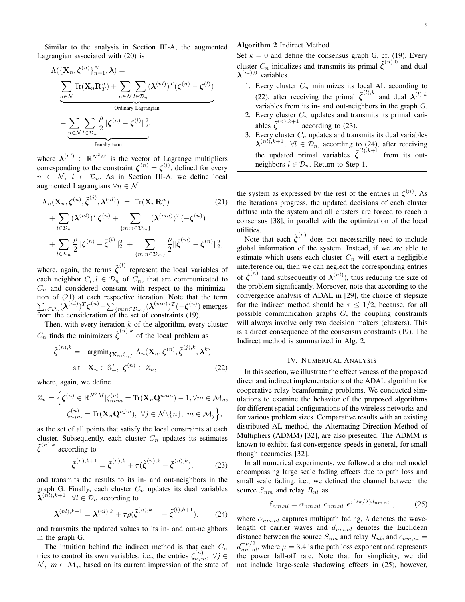Similar to the analysis in Section III-A, the augmented Lagrangian associated with (20) is

$$
\Lambda(\{\mathbf{X}_n, \boldsymbol{\zeta}^{(n)}\}_{n=1}^N, \boldsymbol{\lambda}) = \sum_{n \in \mathcal{N}} \text{Tr}(\mathbf{X}_n \mathbf{R}_T^n) + \sum_{n \in \mathcal{N}} \sum_{l \in \mathcal{D}_n} (\boldsymbol{\lambda}^{(nl)})^T (\boldsymbol{\zeta}^{(n)} - \boldsymbol{\zeta}^{(l)}) + \sum_{\substack{n \in \mathcal{N} \\ \text{Ordinary Lagrangian} \\ \text{Penalty term}} \sum_{l \in \mathcal{D}_n} \frac{\rho}{2} ||\boldsymbol{\zeta}^{(n)} - \boldsymbol{\zeta}^{(l)}||_2^2,
$$

where  $\boldsymbol{\lambda}^{(nl)} \in \mathbb{R}^{N^2M}$  is the vector of Lagrange multipliers corresponding to the constraint  $\zeta^{(n)} = \zeta^{(l)}$ , defined for every  $n \in \mathcal{N}, l \in \mathcal{D}_n$ . As in Section III-A, we define local augmented Lagrangians  $\forall n \in \mathcal{N}$ 

$$
\Lambda_n(\mathbf{X}_n, \boldsymbol{\zeta}^{(n)}, \tilde{\boldsymbol{\zeta}}^{(j)}, \boldsymbol{\lambda}^{(nl)}) = \text{Tr}(\mathbf{X}_n \mathbf{R}_T^n) \qquad (21)
$$
\n
$$
+ \sum_{l \in \mathcal{D}_n} (\boldsymbol{\lambda}^{(nl)})^T \boldsymbol{\zeta}^{(n)} + \sum_{\{m:n \in \mathcal{D}_m\}} (\boldsymbol{\lambda}^{(mn)})^T (-\boldsymbol{\zeta}^{(n)})
$$
\n
$$
+ \sum_{l \in \mathcal{D}_n} \frac{\rho}{2} ||\boldsymbol{\zeta}^{(n)} - \tilde{\boldsymbol{\zeta}}^{(l)}||_2^2 + \sum_{\{m:n \in \mathcal{D}_m\}} \frac{\rho}{2} ||\tilde{\boldsymbol{\zeta}}^{(m)} - \boldsymbol{\zeta}^{(n)}||_2^2,
$$

where, again, the terms  $\tilde{\zeta}^{(l)}$  represent the local variables of each neighbor  $C_l, l \in \mathcal{D}_n$  of  $C_n$ , that are communicated to  $C_n$  and considered constant with respect to the minimization of (21) at each respective iteration. Note that the term  $\sum_{l\in\mathcal{D}_n}(\bm{\lambda}^{(nl)})^T\bm{\zeta}^{(n)}\!+\!\sum_{\{m:n\in\mathcal{D}_m\}}(\bm{\lambda}^{(mn)})^T(-\bm{\zeta}^{(n)})$  emerges from the consideration of the set of constraints (19).

Then, with every iteration  $k$  of the algorithm, every cluster  $C_n$  finds the minimizers  $\hat{\zeta}^{(n),k}$  of the local problem as

$$
\hat{\zeta}^{(n),k} = \operatorname{argmin}_{\{\mathbf{X}_n, \boldsymbol{\zeta}_n\}} \Lambda_n(\mathbf{X}_n, \boldsymbol{\zeta}^{(n)}, \tilde{\boldsymbol{\zeta}}^{(j),k}, \boldsymbol{\lambda}^k)
$$
\ns.t  $\mathbf{X}_n \in \mathbb{S}_+^L$ ,  $\boldsymbol{\zeta}^{(n)} \in Z_n$ , (22)

where, again, we define

$$
Z_n = \left\{ \boldsymbol{\zeta}^{(n)} \in \mathbb{R}^{N^2 M} | \zeta_{nnm}^{(n)} = \text{Tr}(\mathbf{X}_n \mathbf{Q}^{nnm}) - 1, \forall m \in \mathcal{M}_n, \n\zeta_{njm}^{(n)} = \text{Tr}(\mathbf{X}_n \mathbf{Q}^{njm}), \ \forall j \in \mathcal{N} \setminus \{n\}, \ m \in \mathcal{M}_j \right\},
$$

as the set of all points that satisfy the local constraints at each cluster. Subsequently, each cluster  $C_n$  updates its estimates  $\tilde{\zeta}^{(n),k}$  according to

$$
\tilde{\zeta}^{(n),k+1} = \tilde{\zeta}^{(n),k} + \tau(\hat{\zeta}^{(n),k} - \tilde{\zeta}^{(n),k}),\tag{23}
$$

and transmits the results to its in- and out-neighbors in the graph G. Finally, each cluster  $C_n$  updates its dual variables  $\bar{\boldsymbol{\lambda}}^{(nl),k+1}, \ \forall l \in \mathcal{D}_n \text{ according to}$ 

$$
\boldsymbol{\lambda}^{(nl),k+1} = \boldsymbol{\lambda}^{(nl),k} + \tau \rho(\tilde{\boldsymbol{\zeta}}^{(n),k+1} - \tilde{\boldsymbol{\zeta}}^{(l),k+1}). \tag{24}
$$

and transmits the updated values to its in- and out-neighbors in the graph G.

The intuition behind the indirect method is that each  $C_n$ tries to control its own variables, i.e., the entries  $\zeta_{njm}^{(n)}$ ,  $\forall j \in$  $\mathcal{N}, m \in \mathcal{M}_i$ , based on its current impression of the state of

# Algorithm 2 Indirect Method

Set  $k = 0$  and define the consensus graph G, cf. (19). Every cluster  $C_n$  initializes and transmits its primal  $\tilde{\zeta}^{(n),0}$  and dual  $\lambda^{(nl),0}$  variables.

- 1. Every cluster  $C_n$  minimizes its local AL according to (22), after receiving the primal  $\tilde{\zeta}^{(l),k}$  and dual  $\lambda^{(l),k}$ variables from its in- and out-neighbors in the graph G.
- 2. Every cluster  $C_n$  updates and transmits its primal variables  $\tilde{\zeta}^{(n),k+1}$  according to (23).
- 3. Every cluster  $C_n$  updates and transmits its dual variables  $\boldsymbol{\lambda}^{(nl),k+1}$ ,  $\forall l \in \mathcal{D}_n$ , according to (24), after receiving the updated primal variables  $\tilde{\zeta}^{(l),k+1}$  from its outneighbors  $l \in \mathcal{D}_n$ . Return to Step 1.

the system as expressed by the rest of the entries in  $\zeta^{(n)}$ . As the iterations progress, the updated decisions of each cluster diffuse into the system and all clusters are forced to reach a consensus [38], in parallel with the optimization of the local utilities.

Note that each  $\tilde{\zeta}^{(n)}$  does not necessarilly need to include global information of the system. Instead, if we are able to estimate which users each cluster  $C_n$  will exert a negligible interference on, then we can neglect the corresponding entries of  $\tilde{\zeta}^{(n)}$  (and subsequently of  $\lambda^{(nl)}$ ), thus reducing the size of the problem significantly. Moreover, note that according to the convergence analysis of ADAL in [29], the choice of stepsize for the indirect method should be  $\tau \leq 1/2$ , because, for all possible communication graphs  $G$ , the coupling constraints will always involve only two decision makers (clusters). This is a direct consequence of the consensus constraints (19). The Indirect method is summarized in Alg. 2.

# IV. NUMERICAL ANALYSIS

In this section, we illustrate the effectiveness of the proposed direct and indirect implementations of the ADAL algorithm for cooperative relay beamforming problems. We conducted simulations to examine the behavior of the proposed algorithms for different spatial configurations of the wireless networks and for various problem sizes. Comparative results with an existing distributed AL method, the Alternating Direction Method of Multipliers (ADMM) [32], are also presented. The ADMM is known to exhibit fast convergence speeds in general, for small though accuracies [32].

In all numerical experiments, we followed a channel model encompassing large scale fading effects due to path loss and small scale fading, i.e., we defined the channel between the source  $S_{nm}$  and relay  $R_{nl}$  as

$$
\mathbf{f}_{nm,nl} = \alpha_{nm,nl} \ c_{nm,nl} \ e^{j(2\pi/\lambda)d_{nm,nl}} \ , \tag{25}
$$

where  $\alpha_{nm,nl}$  captures multipath fading,  $\lambda$  denotes the wavelength of carrier waves and  $d_{nm,nl}$  denotes the Euclidean distance between the source  $S_{nm}$  and relay  $R_{nl}$ , and  $c_{nm,nl} =$  $d_{nm,nl}^{-\mu/2}$ , where  $\mu = 3.4$  is the path loss exponent and represents the power fall-off rate. Note that for simplicity, we did not include large-scale shadowing effects in (25), however,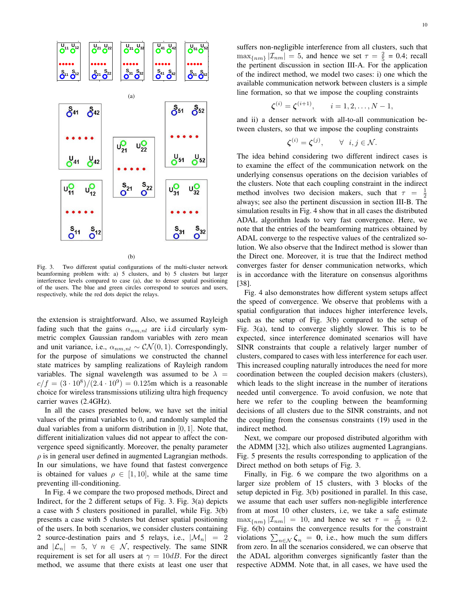

(b)

Fig. 3. Two different spatial configurations of the multi-cluster network beamforming problem with: a) 5 clusters, and b) 5 clusters but larger interference levels compared to case (a), due to denser spatial positioning of the users. The blue and green circles correspond to sources and users, respectively, while the red dots depict the relays.

the extension is straightforward. Also, we assumed Rayleigh fading such that the gains  $\alpha_{nm,nl}$  are i.i.d circularly symmetric complex Gaussian random variables with zero mean and unit variance, i.e.,  $\alpha_{nm,nl} \sim \mathcal{CN}(0,1)$ . Correspondingly, for the purpose of simulations we constructed the channel state matrices by sampling realizations of Rayleigh random variables. The signal wavelength was assumed to be  $\lambda =$  $c/f = (3 \cdot 10^8)/(2.4 \cdot 10^9) = 0.125$ m which is a reasonable choice for wireless transmissions utilizing ultra high frequency carrier waves (2.4GHz).

In all the cases presented below, we have set the initial values of the primal variables to 0, and randomly sampled the dual variables from a uniform distribution in [0, 1]. Note that, different initialization values did not appear to affect the convergence speed significantly. Moreover, the penalty parameter  $\rho$  is in general user defined in augmented Lagrangian methods. In our simulations, we have found that fastest convergence is obtained for values  $\rho \in [1, 10]$ , while at the same time preventing ill-conditioning.

In Fig. 4 we compare the two proposed methods, Direct and Indirect, for the 2 different setups of Fig. 3. Fig. 3(a) depicts a case with 5 clusters positioned in parallel, while Fig. 3(b) presents a case with 5 clusters but denser spatial positioning of the users. In both scenarios, we consider clusters containing 2 source-destination pairs and 5 relays, i.e.,  $|\mathcal{M}_n| = 2$ and  $|\mathcal{L}_n| = 5$ ,  $\forall n \in \mathcal{N}$ , respectively. The same SINR requirement is set for all users at  $\gamma = 10dB$ . For the direct method, we assume that there exists at least one user that

suffers non-negligible interference from all clusters, such that  $\max_{\{nm\}}|\mathcal{I}_{nm}| = 5$ , and hence we set  $\tau = \frac{2}{5} = 0.4$ ; recall the pertinent discussion in section III-A. For the application of the indirect method, we model two cases: i) one which the available communication network between clusters is a simple line formation, so that we impose the coupling constraints

$$
\zeta^{(i)} = \zeta^{(i+1)}, \qquad i = 1, 2, \dots, N-1,
$$

and ii) a denser network with all-to-all communication between clusters, so that we impose the coupling constraints

$$
\boldsymbol{\zeta}^{(i)} = \boldsymbol{\zeta}^{(j)}, \qquad \forall \ \ i, j \in \mathcal{N}.
$$

The idea behind considering two different indirect cases is to examine the effect of the communication network on the underlying consensus operations on the decision variables of the clusters. Note that each coupling constraint in the indirect method involves two decision makers, such that  $\tau = \frac{1}{2}$ always; see also the pertinent discussion in section III-B. The simulation results in Fig. 4 show that in all cases the distributed ADAL algorithm leads to very fast convergence. Here, we note that the entries of the beamforming matrices obtained by ADAL converge to the respective values of the centralized solution. We also observe that the Indirect method is slower than the Direct one. Moreover, it is true that the Indirect method converges faster for denser communication networks, which is in accordance with the literature on consensus algorithms [38].

Fig. 4 also demonstrates how different system setups affect the speed of convergence. We observe that problems with a spatial configuration that induces higher interference levels, such as the setup of Fig. 3(b) compared to the setup of Fig. 3(a), tend to converge slightly slower. This is to be expected, since interference dominated scenarios will have SINR constraints that couple a relatively larger number of clusters, compared to cases with less interference for each user. This increased coupling naturally introduces the need for more coordination between the coupled decision makers (clusters), which leads to the slight increase in the number of iterations needed until convergence. To avoid confusion, we note that here we refer to the coupling between the beamforming decisions of all clusters due to the SINR constraints, and not the coupling from the consensus constraints (19) used in the indirect method.

Next, we compare our proposed distributed algorithm with the ADMM [32], which also utilizes augmented Lagrangians. Fig. 5 presents the results corresponding to application of the Direct method on both setups of Fig. 3.

Finally, in Fig. 6 we compare the two algorithms on a larger size problem of 15 clusters, with 3 blocks of the setup depicted in Fig. 3(b) positioned in parallel. In this case, we assume that each user suffers non-negligible interference from at most 10 other clusters, i.e, we take a safe estimate  $\max_{\{nm\}}|\mathcal{I}_{nm}| = 10$ , and hence we set  $\tau = \frac{2}{10} = 0.2$ . Fig. 6(b) contains the convergence results for the constraint violations  $\sum_{n \in \mathcal{N}} \zeta_n = 0$ , i.e., how much the sum differs from zero. In all the scenarios considered, we can observe that the ADAL algorithm converges significantly faster than the respective ADMM. Note that, in all cases, we have used the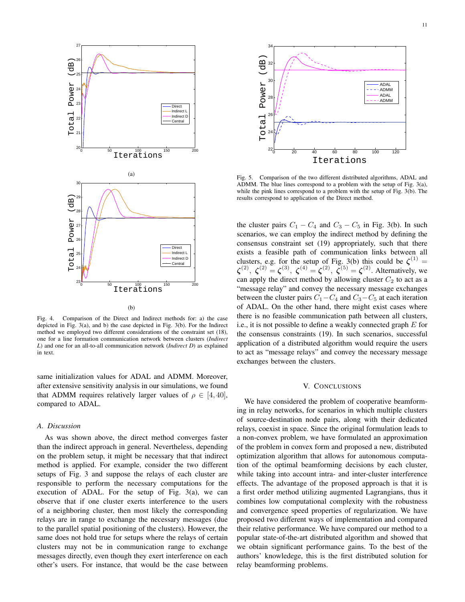

(b)

Fig. 4. Comparison of the Direct and Indirect methods for: a) the case depicted in Fig. 3(a), and b) the case depicted in Fig. 3(b). For the Indirect method we employed two different considerations of the constraint set (18), one for a line formation communication network between clusters (*Indirect L*) and one for an all-to-all communication network (*Indirect D*) as explained in text.

same initialization values for ADAL and ADMM. Moreover, after extensive sensitivity analysis in our simulations, we found that ADMM requires relatively larger values of  $\rho \in [4, 40]$ , compared to ADAL.

# *A. Discussion*

As was shown above, the direct method converges faster than the indirect approach in general. Nevertheless, depending on the problem setup, it might be necessary that that indirect method is applied. For example, consider the two different setups of Fig. 3 and suppose the relays of each cluster are responsible to perform the necessary computations for the execution of ADAL. For the setup of Fig. 3(a), we can observe that if one cluster exerts interference to the users of a neighboring cluster, then most likely the corresponding relays are in range to exchange the necessary messages (due to the parallel spatial positioning of the clusters). However, the same does not hold true for setups where the relays of certain clusters may not be in communication range to exchange messages directly, even though they exert interference on each other's users. For instance, that would be the case between



Fig. 5. Comparison of the two different distributed algorithms, ADAL and ADMM. The blue lines correspond to a problem with the setup of Fig. 3(a), while the pink lines correspond to a problem with the setup of Fig. 3(b). The results correspond to application of the Direct method.

the cluster pairs  $C_1 - C_4$  and  $C_3 - C_5$  in Fig. 3(b). In such scenarios, we can employ the indirect method by defining the consensus constraint set (19) appropriately, such that there exists a feasible path of communication links between all clusters, e.g. for the setup of Fig. 3(b) this could be  $\zeta^{(1)}$  =  $\zeta^{(2)}, \; \zeta^{(2)} = \zeta^{(3)}, \; \zeta^{(4)} = \zeta^{(2)}, \; \bar{\zeta}^{(5)} = \zeta^{(2)}$ . Alternatively, we can apply the direct method by allowing cluster  $C_2$  to act as a "message relay" and convey the necessary message exchanges between the cluster pairs  $C_1 - C_4$  and  $C_3 - C_5$  at each iteration of ADAL. On the other hand, there might exist cases where there is no feasible communication path between all clusters, i.e., it is not possible to define a weakly connected graph  $E$  for the consensus constraints (19). In such scenarios, successful application of a distributed algorithm would require the users to act as "message relays" and convey the necessary message exchanges between the clusters.

# V. CONCLUSIONS

We have considered the problem of cooperative beamforming in relay networks, for scenarios in which multiple clusters of source-destination node pairs, along with their dedicated relays, coexist in space. Since the original formulation leads to a non-convex problem, we have formulated an approximation of the problem in convex form and proposed a new, distributed optimization algorithm that allows for autonomous computation of the optimal beamforming decisions by each cluster, while taking into account intra- and inter-cluster interference effects. The advantage of the proposed approach is that it is a first order method utilizing augmented Lagrangians, thus it combines low computational complexity with the robustness and convergence speed properties of regularization. We have proposed two different ways of implementation and compared their relative performance. We have compared our method to a popular state-of-the-art distributed algorithm and showed that we obtain significant performance gains. To the best of the authors' knowledege, this is the first distributed solution for relay beamforming problems.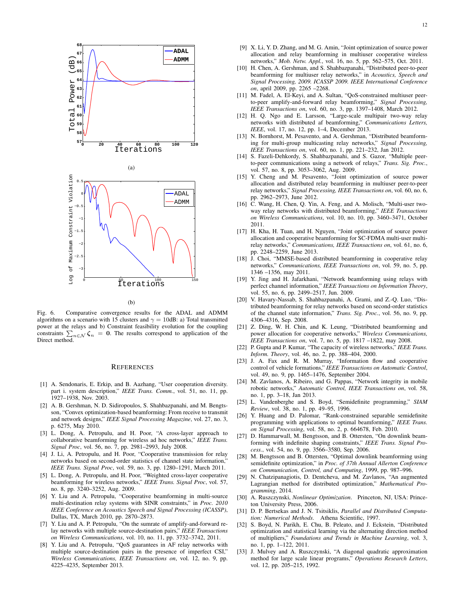



Fig. 6. Comparative convergence results for the ADAL and ADMM algorithms on a scenario with 15 clusters and  $\gamma = 10$ dB: a) Total transmitted power at the relays and b) Constraint feasibility evolution for the coupling constraints  $\sum_{n \in \mathcal{N}} \zeta_n = 0$ . The results correspond to application of the Direct method.

#### **REFERENCES**

- [1] A. Sendonaris, E. Erkip, and B. Aazhang, "User cooperation diversity. part i. system description," *IEEE Trans. Comm.*, vol. 51, no. 11, pp. 1927–1938, Nov. 2003.
- [2] A. B. Gershman, N. D. Sidiropoulos, S. Shahbazpanahi, and M. Bengtsson, "Convex optimization-based beamforming: From receive to transmit and network designs," *IEEE Signal Processing Magazine*, vol. 27, no. 3, p. 6275, May 2010.
- [3] L. Dong, A. Petropulu, and H. Poor, "A cross-layer approach to collaborative beamforming for wireless ad hoc networks," *IEEE Trans. Signal Proc*, vol. 56, no. 7, pp. 2981–2993, July 2008.
- [4] J. Li, A. Petropulu, and H. Poor, "Cooperative transmission for relay networks based on second-order statistics of channel state information, *IEEE Trans. Signal Proc*, vol. 59, no. 3, pp. 1280–1291, March 2011.
- [5] L. Dong, A. Petropulu, and H. Poor, "Weighted cross-layer cooperative beamforming for wireless networks," *IEEE Trans. Signal Proc*, vol. 57, no. 8, pp. 3240–3252, Aug. 2009.
- [6] Y. Liu and A. Petropulu, "Cooperative beamforming in multi-source multi-destination relay systems with SINR constraints," in *Proc. 2010 IEEE Conference on Acoustics Speech and Signal Processing (ICASSP)*, Dallas, TX, March 2010, pp. 2870–2873.
- [7] Y. Liu and A. P. Petropulu, "On the sumrate of amplify-and-forward relay networks with multiple source-destination pairs," *IEEE Transactions on Wireless Communications*, vol. 10, no. 11, pp. 3732–3742, 2011.
- [8] Y. Liu and A. Petropulu, "QoS guarantees in AF relay networks with multiple source-destination pairs in the presence of imperfect CSI," *Wireless Communications, IEEE Transactions on*, vol. 12, no. 9, pp. 4225–4235, September 2013.
- [9] X. Li, Y. D. Zhang, and M. G. Amin, "Joint optimization of source power allocation and relay beamforming in multiuser cooperative wireless networks," *Mob. Netw. Appl.*, vol. 16, no. 5, pp. 562–575, Oct. 2011.
- [10] H. Chen, A. Gershman, and S. Shahbazpanahi, "Distributed peer-to-peer beamforming for multiuser relay networks," in *Acoustics, Speech and Signal Processing, 2009. ICASSP 2009. IEEE International Conference on*, april 2009, pp. 2265 –2268.
- [11] M. Fadel, A. El-Keyi, and A. Sultan, "QoS-constrained multiuser peerto-peer amplify-and-forward relay beamforming," *Signal Processing, IEEE Transactions on*, vol. 60, no. 3, pp. 1397–1408, March 2012.
- [12] H. Q. Ngo and E. Larsson, "Large-scale multipair two-way relay networks with distributed af beamforming," *Communications Letters, IEEE*, vol. 17, no. 12, pp. 1–4, December 2013.
- [13] N. Bornhorst, M. Pesavento, and A. Gershman, "Distributed beamforming for multi-group multicasting relay networks," *Signal Processing, IEEE Transactions on*, vol. 60, no. 1, pp. 221–232, Jan 2012.
- [14] S. Fazeli-Dehkordy, S. Shahbazpanahi, and S. Gazor, "Multiple peerto-peer communications using a network of relays," *Trans. Sig. Proc.*, vol. 57, no. 8, pp. 3053–3062, Aug. 2009.
- [15] Y. Cheng and M. Pesavento, "Joint optimization of source power allocation and distributed relay beamforming in multiuser peer-to-peer relay networks," *Signal Processing, IEEE Transactions on*, vol. 60, no. 6, pp. 2962–2973, June 2012.
- [16] C. Wang, H. Chen, Q. Yin, A. Feng, and A. Molisch, "Multi-user twoway relay networks with distributed beamforming," *IEEE Transactions on Wireless Communications*, vol. 10, no. 10, pp. 3460–3471, October 2011.
- [17] H. Kha, H. Tuan, and H. Nguyen, "Joint optimization of source power allocation and cooperative beamforming for SC-FDMA multi-user multirelay networks," *Communications, IEEE Transactions on*, vol. 61, no. 6, pp. 2248–2259, June 2013.
- [18] J. Choi, "MMSE-based distributed beamforming in cooperative relay networks," *Communications, IEEE Transactions on*, vol. 59, no. 5, pp. 1346 –1356, may 2011.
- [19] Y. Jing and H. Jafarkhani, "Network beamforming using relays with perfect channel information," *IEEE Transactions on Information Theory*, vol. 55, no. 6, pp. 2499–2517, Jun. 2009.
- [20] V. Havary-Nassab, S. Shahbazpanahi, A. Grami, and Z.-Q. Luo, "Distributed beamforming for relay networks based on second-order statistics of the channel state information," *Trans. Sig. Proc.*, vol. 56, no. 9, pp. 4306–4316, Sep. 2008.
- [21] Z. Ding, W. H. Chin, and K. Leung, "Distributed beamforming and power allocation for cooperative networks," *Wireless Communications, IEEE Transactions on*, vol. 7, no. 5, pp. 1817 –1822, may 2008.
- [22] P. Gupta and P. Kumar, "The capacity of wireless networks," *IEEE Trans. Inform. Theory*, vol. 46, no. 2, pp. 388–404, 2000.
- [23] J. A. Fax and R. M. Murray, "Information flow and cooperative control of vehicle formations," *IEEE Transactions on Automatic Control*, vol. 49, no. 9, pp. 1465–1476, September 2004.
- [24] M. Zavlanos, A. Ribeiro, and G. Pappas, "Network integrity in mobile robotic networks," *Automatic Control, IEEE Transactions on*, vol. 58, no. 1, pp. 3–18, Jan 2013.
- [25] L. Vandenberghe and S. Boyd, "Semidefinite programming," *SIAM Review*, vol. 38, no. 1, pp. 49–95, 1996.
- [26] Y. Huang and D. Palomar, "Rank-constrained separable semidefinite programming with applications to optimal beamforming," *IEEE Trans. on Signal Processing*, vol. 58, no. 2, p. 664678, Feb. 2010.
- [27] D. Hammarwall, M. Bengtsson, and B. Ottersten, "On downlink beamforming with indefinite shaping constraints," *IEEE Trans. Signal Process.*, vol. 54, no. 9, pp. 3566–3580, Sep. 2006.
- [28] M. Bengtsson and B. Ottersten, "Optimal downlink beamforming using semidefinite optimization," in *Proc. of 37th Annual Allerton Conference on Communication, Control, and Computing*, 1999, pp. 987–996.
- [29] N. Chatzipanagiotis, D. Dentcheva, and M. Zavlanos, "An augmented Lagrangian method for distributed optimization," *Mathematical Programming*, 2014.
- [30] A. Ruszczynski, *Nonlinear Optimization*. Princeton, NJ, USA: Princeton University Press, 2006.
- [31] D. P. Bertsekas and J. N. Tsitsiklis, *Parallel and Distributed Computation: Numerical Methods*. Athena Scientific, 1997.
- [32] S. Boyd, N. Parikh, E. Chu, B. Peleato, and J. Eckstein, "Distributed optimization and statistical learning via the alternating direction method of multipliers," *Foundations and Trends in Machine Learning*, vol. 3, no. 1, pp. 1–122, 2011.
- [33] J. Mulvey and A. Ruszczynski, "A diagonal quadratic approximation method for large scale linear programs," *Operations Research Letters*, vol. 12, pp. 205–215, 1992.